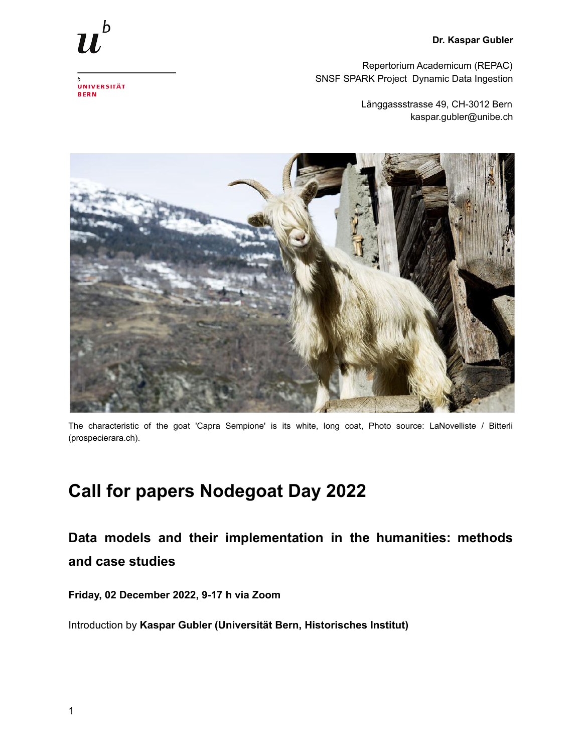## **Dr. Kaspar Gubler**



Repertorium Academicum (REPAC) SNSF SPARK Project Dynamic Data Ingestion

> Länggassstrasse 49, CH-3012 Bern kaspar.gubler@unibe.ch



The characteristic of the goat 'Capra Sempione' is its white, long coat, Photo source: LaNovelliste / Bitterli (prospecierara.ch).

## **Call for papers Nodegoat Day 2022**

**Data models and their implementation in the humanities: methods and case studies**

**Friday, 02 December 2022, 9-17 h via Zoom**

Introduction by **Kaspar Gubler (Universität Bern, Historisches Institut)**

UNIVERSITÄT **BERN**